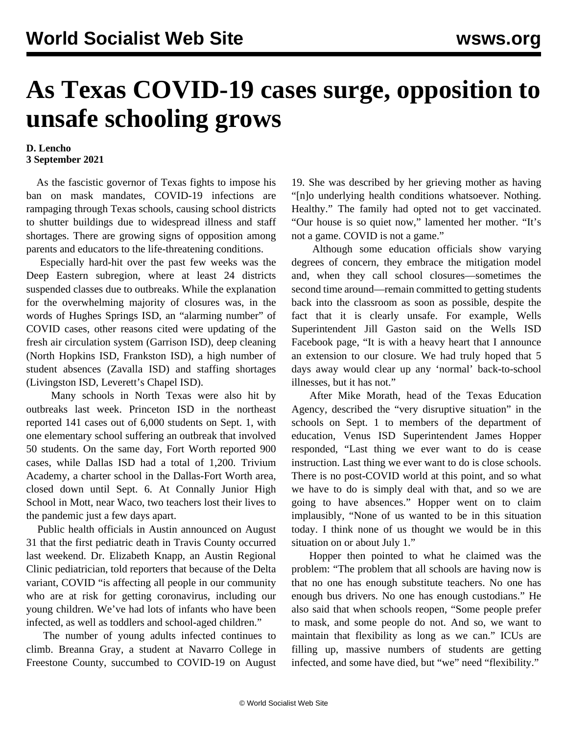## **As Texas COVID-19 cases surge, opposition to unsafe schooling grows**

## **D. Lencho 3 September 2021**

 As the fascistic governor of Texas fights to impose his ban on mask mandates, COVID-19 infections are rampaging through Texas schools, causing school districts to shutter buildings due to widespread illness and staff shortages. There are growing signs of opposition among parents and educators to the life-threatening conditions.

 Especially hard-hit over the past few weeks was the Deep Eastern subregion, where at least 24 districts suspended classes due to outbreaks. While the explanation for the overwhelming majority of closures was, in the words of Hughes Springs ISD, an "alarming number" of COVID cases, other reasons cited were updating of the fresh air circulation system (Garrison ISD), deep cleaning (North Hopkins ISD, Frankston ISD), a high number of student absences (Zavalla ISD) and staffing shortages (Livingston ISD, Leverett's Chapel ISD).

 Many schools in North Texas were also hit by outbreaks last week. Princeton ISD in the northeast reported 141 cases out of 6,000 students on Sept. 1, with one elementary school suffering an outbreak that involved 50 students. On the same day, Fort Worth reported 900 cases, while Dallas ISD had a total of 1,200. Trivium Academy, a charter school in the Dallas-Fort Worth area, closed down until Sept. 6. At Connally Junior High School in Mott, near Waco, [two teachers](/en/articles/2021/09/02/txco-s02.html) lost their lives to the pandemic just a few days apart.

 Public health officials in Austin announced on August 31 that the first pediatric death in Travis County occurred last weekend. Dr. Elizabeth Knapp, an Austin Regional Clinic pediatrician, told reporters that because of the Delta variant, COVID "is affecting all people in our community who are at risk for getting coronavirus, including our young children. We've had lots of infants who have been infected, as well as toddlers and school-aged children."

 The number of young adults infected continues to climb. Breanna Gray, a student at Navarro College in Freestone County, succumbed to COVID-19 on August 19. She was described by her grieving mother as having "[n]o underlying health conditions whatsoever. Nothing. Healthy." The family had opted not to get vaccinated. "Our house is so quiet now," lamented her mother. "It's not a game. COVID is not a game."

 Although some education officials show varying degrees of concern, they embrace the mitigation model and, when they call school closures—sometimes the second time around—remain committed to getting students back into the classroom as soon as possible, despite the fact that it is clearly unsafe. For example, Wells Superintendent Jill Gaston said on the Wells ISD Facebook page, "It is with a heavy heart that I announce an extension to our closure. We had truly hoped that 5 days away would clear up any 'normal' back-to-school illnesses, but it has not."

 After Mike Morath, head of the Texas Education Agency, described the "very disruptive situation" in the schools on Sept. 1 to members of the department of education, Venus ISD Superintendent James Hopper responded, "Last thing we ever want to do is cease instruction. Last thing we ever want to do is close schools. There is no post-COVID world at this point, and so what we have to do is simply deal with that, and so we are going to have absences." Hopper went on to claim implausibly, "None of us wanted to be in this situation today. I think none of us thought we would be in this situation on or about July 1."

 Hopper then pointed to what he claimed was the problem: "The problem that all schools are having now is that no one has enough substitute teachers. No one has enough bus drivers. No one has enough custodians." He also said that when schools reopen, "Some people prefer to mask, and some people do not. And so, we want to maintain that flexibility as long as we can." ICUs are filling up, massive numbers of students are getting infected, and some have died, but "we" need "flexibility."